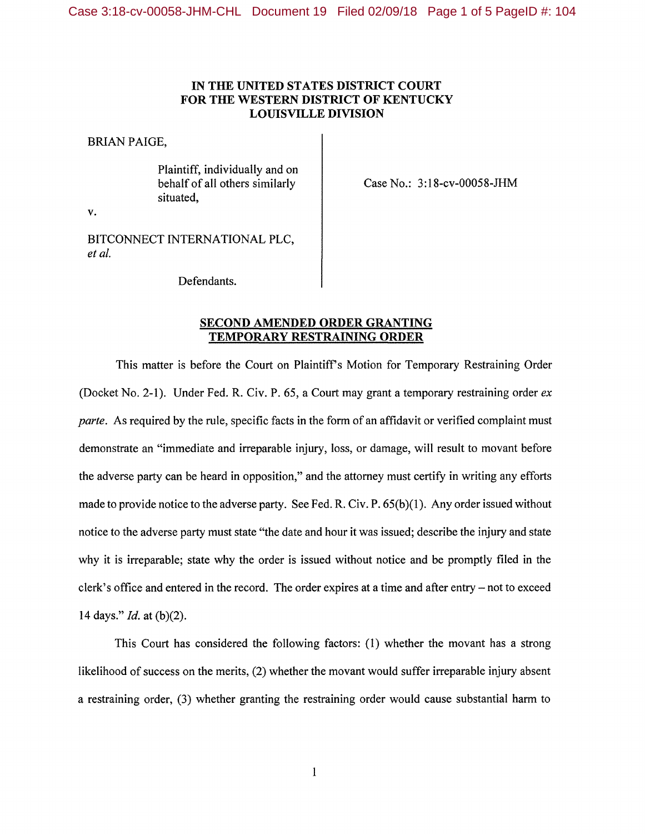## **IN THE UNITED STATES DISTRICT COURT FOR THE WESTERN DISTRICT OF KENTUCKY LOUISVILLE DIVISION**

BRIAN PAIGE,

v.

Plaintiff, individually and on behalf of all others similarly situated,

Case No.: 3:18-cv-00058-JHM

BITCONNECT INTERNATIONAL PLC, *et al.* 

Defendants.

## **SECOND AMENDED ORDER GRANTING TEMPORARY RESTRAINING ORDER**

This matter is before the Court on Plaintiffs Motion for Temporary Restraining Order (Docket No. 2-1). Under Fed. R. Civ. P. 65, a Court may grant a temporary restraining order *ex parte.* As required by the rule, specific facts in the form of an affidavit or verified complaint must demonstrate an "immediate and irreparable injury, loss, or damage, will result to movant before the adverse party can be heard in opposition," and the attorney must certify in writing any efforts made to provide notice to the adverse party. See Fed. R. Civ. P. 65(b)(1). Any order issued without notice to the adverse party must state "the date and hour it was issued; describe the injury and state why it is irreparable; state why the order is issued without notice and be promptly filed in the clerk's office and entered in the record. The order expires at a time and after entry  $-$  not to exceed 14 days." *Id.* at (b)(2).

This Court has considered the following factors: (1) whether the movant has a strong likelihood of success on the merits, (2) whether the movant would suffer irreparable injury absent a restraining order, (3) whether granting the restraining order would cause substantial harm to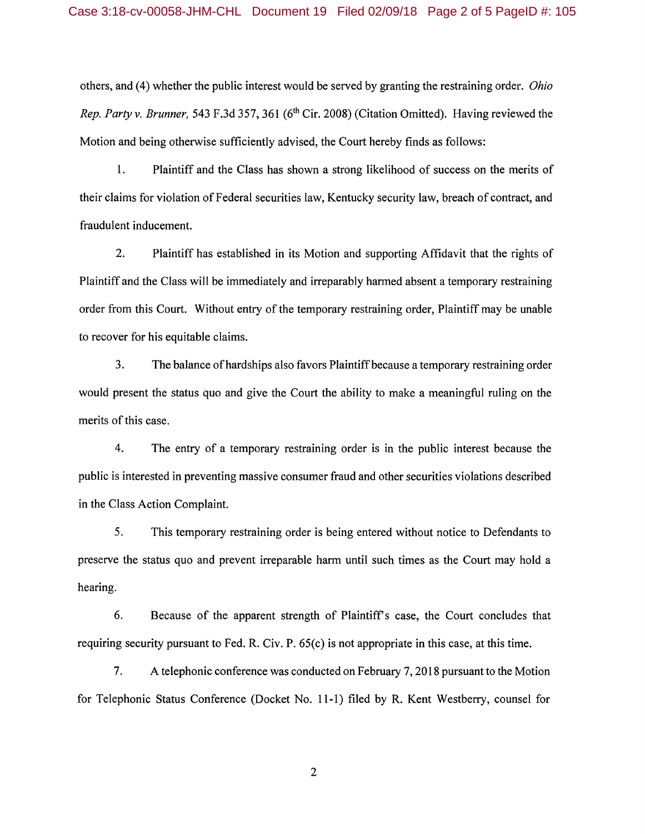others, and (4) whether the public interest would be served by granting the restraining order. *Ohio Rep. Party v. Brunner,* 543 F.3d 357, 361 (6<sup>th</sup> Cir. 2008) (Citation Omitted). Having reviewed the Motion and being otherwise sufficiently advised, the Court hereby finds as follows:

1. Plaintiff and the Class has shown a strong likelihood of success on the merits of their claims for violation of Federal securities law, Kentucky security law, breach of contract, and fraudulent inducement.

2. Plaintiff has established in its Motion and supporting Affidavit that the rights of Plaintiff and the Class will be immediately and irreparably harmed absent a temporary restraining order from this Court. Without entry of the temporary restraining order, Plaintiff may be unable to recover for his equitable claims.

3. The balance of hardships also favors Plaintiff because a temporary restraining order would present the status quo and give the Court the ability to make a meaningful ruling on the merits of this case.

4. The entry of a temporary restraining order is in the public interest because the public is interested in preventing massive consumer fraud and other securities violations described in the Class Action Complaint.

5. This temporary restraining order is being entered without notice to Defendants to preserve the status quo and prevent irreparable harm until such times as the Court may hold a hearing.

6. Because of the apparent strength of Plaintiffs case, the Court concludes that requiring security pursuant to Fed. R. Civ. P. 65(c) is not appropriate in this case, at this time.

7. A telephonic conference was conducted on February 7, 2018 pursuant to the Motion for Telephonic Status Conference (Docket No. 11-1) filed by R. Kent Westberry, counsel for

2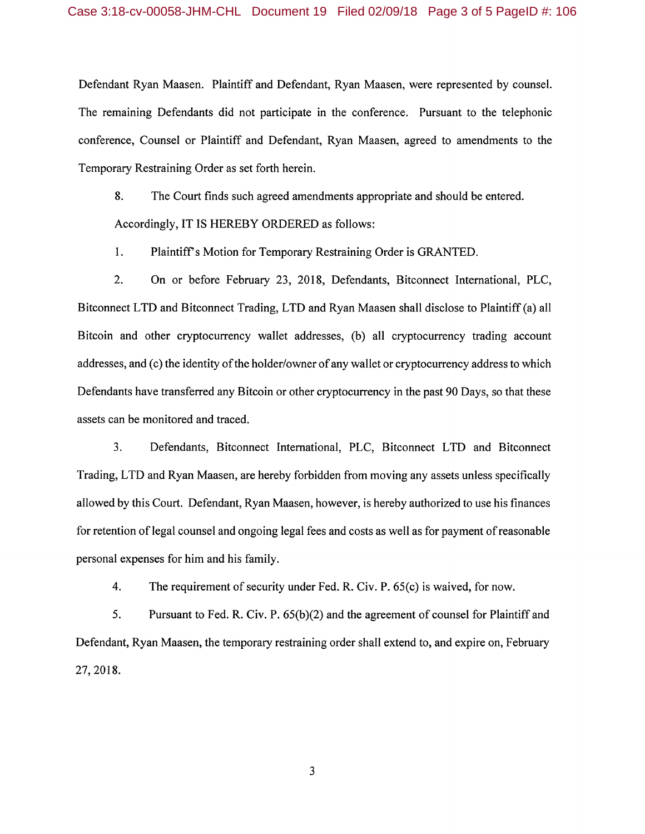Defendant Ryan Maasen. Plaintiff and Defendant, Ryan Maasen, were represented by counsel. The remaining Defendants did not participate in the conference. Pursuant to the telephonic conference, Counsel or Plaintiff and Defendant, Ryan Maasen, agreed to amendments to the Temporary Restraining Order as set forth herein.

8. The Court finds such agreed amendments appropriate and should be entered. Accordingly, IT IS HEREBY ORDERED as follows:

1. Plaintiff's Motion for Temporary Restraining Order is GRANTED.

2. On or before February 23, 2018, Defendants, Bitconnect International, PLC, Bitconnect LTD and Bitconnect Trading, LTD and Ryan Maasen shall disclose to Plaintiff (a) all Bitcoin and other cryptocurrency wallet addresses, (b) all cryptocurrency trading account addresses, and (c) the identity of the holder/owner of any wallet or cryptocurrency address to which Defendants have transferred any Bitcoin or other cryptocurrency in the past 90 Days, so that these assets can be monitored and traced.

3. Defendants, Bitconnect International, PLC, Bitconnect LTD and Bitconnect Trading, LTD and Ryan Maasen, are hereby forbidden from moving any assets unless specifically allowed by this Court. Defendant, Ryan Maasen, however, is hereby authorized to use his finances for retention of legal counsel and ongoing legal fees and costs as well as for payment of reasonable personal expenses for him and his family.

4. The requirement of security under Fed. R. Civ. P. 65(c) is waived, for now.

5. Pursuant to Fed. R. Civ. P. 65(b)(2) and the agreement of counsel for Plaintiff and Defendant, Ryan Maasen, the temporary restraining order shall extend to, and expire on, February 27, 2018.

3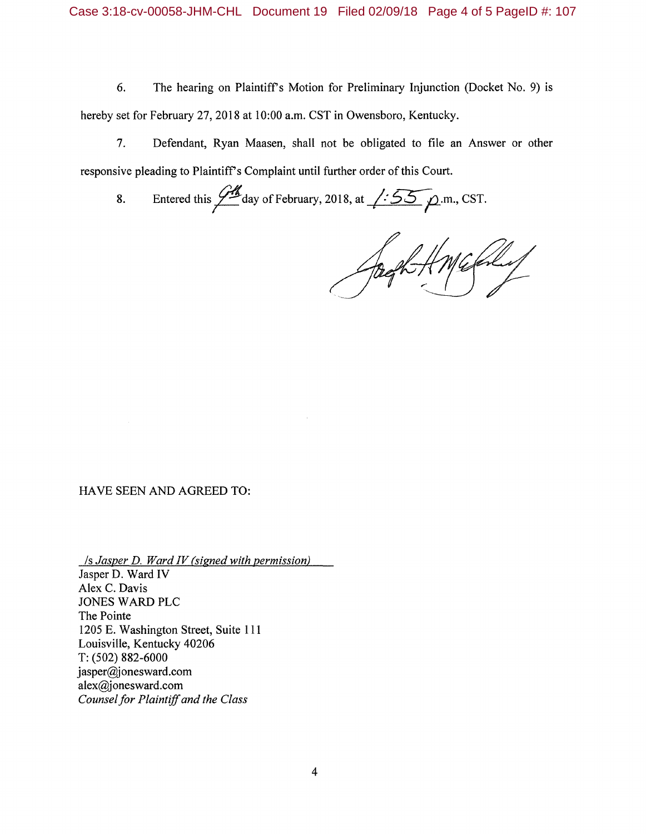6. The hearing on Plaintiff's Motion for Preliminary Injunction (Docket No. 9) is hereby set for February 27, 2018 at 10:00 a.m. CST in Owensboro, Kentucky.

7. Defendant, Ryan Maasen, shall not be obligated to file an Answer or other responsive pleading to Plaintiff's Complaint until further order of this Court.

8. Entered this  $\frac{\sqrt{M}}{2}$  day of February, 2018, at  $\sqrt{\frac{.55}{2}}$   $\rho$ .m., CST.

## HA VE SEEN AND AGREED TO:

*Is Jasper D. Ward IV (signed with permission)*  Jasper D. Ward IV Alex C. Davis JONES WARD PLC The Pointe 1205 E. Washington Street, Suite 111 Louisville, Kentucky 40206 T: (502) 882-6000 jasper@jonesward.com alex@jonesward.com *Counsel for Plaintiff and the Class*